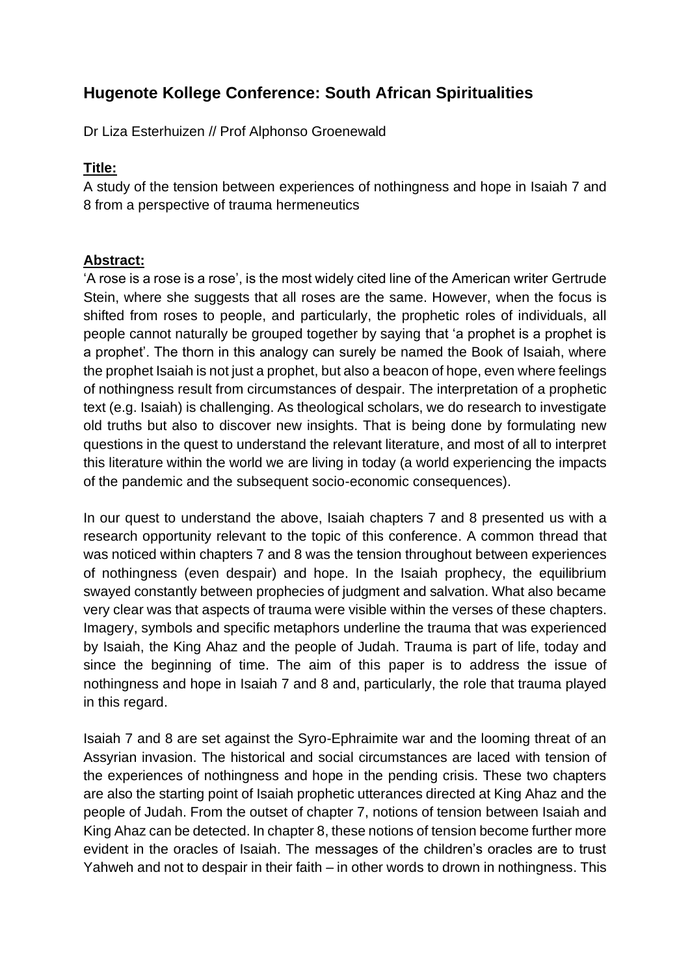## **Hugenote Kollege Conference: South African Spiritualities**

Dr Liza Esterhuizen // Prof Alphonso Groenewald

## **Title:**

A study of the tension between experiences of nothingness and hope in Isaiah 7 and 8 from a perspective of trauma hermeneutics

## **Abstract:**

'A rose is a rose is a rose', is the most widely cited line of the American writer Gertrude Stein, where she suggests that all roses are the same. However, when the focus is shifted from roses to people, and particularly, the prophetic roles of individuals, all people cannot naturally be grouped together by saying that 'a prophet is a prophet is a prophet'. The thorn in this analogy can surely be named the Book of Isaiah, where the prophet Isaiah is not just a prophet, but also a beacon of hope, even where feelings of nothingness result from circumstances of despair. The interpretation of a prophetic text (e.g. Isaiah) is challenging. As theological scholars, we do research to investigate old truths but also to discover new insights. That is being done by formulating new questions in the quest to understand the relevant literature, and most of all to interpret this literature within the world we are living in today (a world experiencing the impacts of the pandemic and the subsequent socio-economic consequences).

In our quest to understand the above, Isaiah chapters 7 and 8 presented us with a research opportunity relevant to the topic of this conference. A common thread that was noticed within chapters 7 and 8 was the tension throughout between experiences of nothingness (even despair) and hope. In the Isaiah prophecy, the equilibrium swayed constantly between prophecies of judgment and salvation. What also became very clear was that aspects of trauma were visible within the verses of these chapters. Imagery, symbols and specific metaphors underline the trauma that was experienced by Isaiah, the King Ahaz and the people of Judah. Trauma is part of life, today and since the beginning of time. The aim of this paper is to address the issue of nothingness and hope in Isaiah 7 and 8 and, particularly, the role that trauma played in this regard.

Isaiah 7 and 8 are set against the Syro-Ephraimite war and the looming threat of an Assyrian invasion. The historical and social circumstances are laced with tension of the experiences of nothingness and hope in the pending crisis. These two chapters are also the starting point of Isaiah prophetic utterances directed at King Ahaz and the people of Judah. From the outset of chapter 7, notions of tension between Isaiah and King Ahaz can be detected. In chapter 8, these notions of tension become further more evident in the oracles of Isaiah. The messages of the children's oracles are to trust Yahweh and not to despair in their faith – in other words to drown in nothingness. This